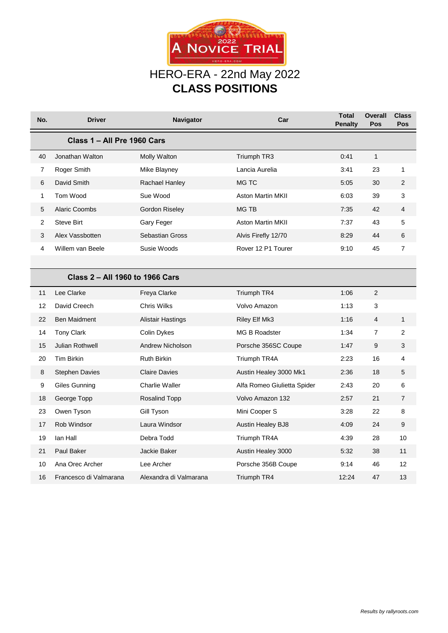

## HERO-ERA - 22nd May 2022 **CLASS POSITIONS**

| No.                             | <b>Driver</b>          | Navigator                | Car                         | <b>Total</b><br>Penalty | <b>Overall</b><br>Pos | <b>Class</b><br>Pos |  |  |  |  |  |
|---------------------------------|------------------------|--------------------------|-----------------------------|-------------------------|-----------------------|---------------------|--|--|--|--|--|
| Class 1 - All Pre 1960 Cars     |                        |                          |                             |                         |                       |                     |  |  |  |  |  |
| 40                              | Jonathan Walton        | Molly Walton             | Triumph TR3                 | 0:41                    | $\mathbf{1}$          |                     |  |  |  |  |  |
| 7                               | Roger Smith            | Mike Blayney             | Lancia Aurelia              | 3:41                    | 23                    | 1                   |  |  |  |  |  |
| 6                               | David Smith            | Rachael Hanley           | MG TC                       | 5:05                    | 30                    | 2                   |  |  |  |  |  |
| $\mathbf 1$                     | Tom Wood               | Sue Wood                 | <b>Aston Martin MKII</b>    | 6:03                    | 39                    | 3                   |  |  |  |  |  |
| 5                               | <b>Alaric Coombs</b>   | Gordon Riseley           | <b>MG TB</b>                | 7:35                    | 42                    | $\overline{4}$      |  |  |  |  |  |
| 2                               | <b>Steve Birt</b>      | Gary Feger               | <b>Aston Martin MKII</b>    | 7:37                    | 43                    | 5                   |  |  |  |  |  |
| 3                               | Alex Vassbotten        | Sebastian Gross          | Alvis Firefly 12/70         | 8:29                    | 44                    | 6                   |  |  |  |  |  |
| $\overline{\mathbf{4}}$         | Willem van Beele       | Susie Woods              | Rover 12 P1 Tourer          | 9:10                    | 45                    | $\overline{7}$      |  |  |  |  |  |
|                                 |                        |                          |                             |                         |                       |                     |  |  |  |  |  |
| Class 2 - All 1960 to 1966 Cars |                        |                          |                             |                         |                       |                     |  |  |  |  |  |
| 11                              | Lee Clarke             | Freya Clarke             | Triumph TR4                 | 1:06                    | $\overline{2}$        |                     |  |  |  |  |  |
| 12                              | David Creech           | <b>Chris Wilks</b>       | Volvo Amazon                | 1:13                    | 3                     |                     |  |  |  |  |  |
| 22                              | <b>Ben Maidment</b>    | <b>Alistair Hastings</b> | Riley Elf Mk3               | 1:16                    | $\overline{4}$        | $\mathbf{1}$        |  |  |  |  |  |
| 14                              | <b>Tony Clark</b>      | Colin Dykes              | <b>MG B Roadster</b>        | 1:34                    | $\overline{7}$        | 2                   |  |  |  |  |  |
| 15                              | Julian Rothwell        | <b>Andrew Nicholson</b>  | Porsche 356SC Coupe         | 1:47                    | 9                     | 3                   |  |  |  |  |  |
| 20                              | Tim Birkin             | <b>Ruth Birkin</b>       | Triumph TR4A                | 2:23                    | 16                    | 4                   |  |  |  |  |  |
| 8                               | <b>Stephen Davies</b>  | <b>Claire Davies</b>     | Austin Healey 3000 Mk1      | 2:36                    | 18                    | 5                   |  |  |  |  |  |
| 9                               | <b>Giles Gunning</b>   | Charlie Waller           | Alfa Romeo Giulietta Spider | 2:43                    | 20                    | 6                   |  |  |  |  |  |
| 18                              | George Topp            | Rosalind Topp            | Volvo Amazon 132            | 2:57                    | 21                    | $\overline{7}$      |  |  |  |  |  |
| 23                              | Owen Tyson             | Gill Tyson               | Mini Cooper S               | 3:28                    | 22                    | 8                   |  |  |  |  |  |
| 17                              | Rob Windsor            | Laura Windsor            | Austin Healey BJ8           | 4:09                    | 24                    | 9                   |  |  |  |  |  |
| 19                              | Ian Hall               | Debra Todd               | Triumph TR4A                | 4:39                    | 28                    | 10                  |  |  |  |  |  |
| 21                              | Paul Baker             | Jackie Baker             | Austin Healey 3000          | 5:32                    | 38                    | 11                  |  |  |  |  |  |
| 10                              | Ana Orec Archer        | Lee Archer               | Porsche 356B Coupe          | 9:14                    | 46                    | 12                  |  |  |  |  |  |
| 16                              | Francesco di Valmarana | Alexandra di Valmarana   | Triumph TR4                 | 12:24                   | 47                    | 13                  |  |  |  |  |  |